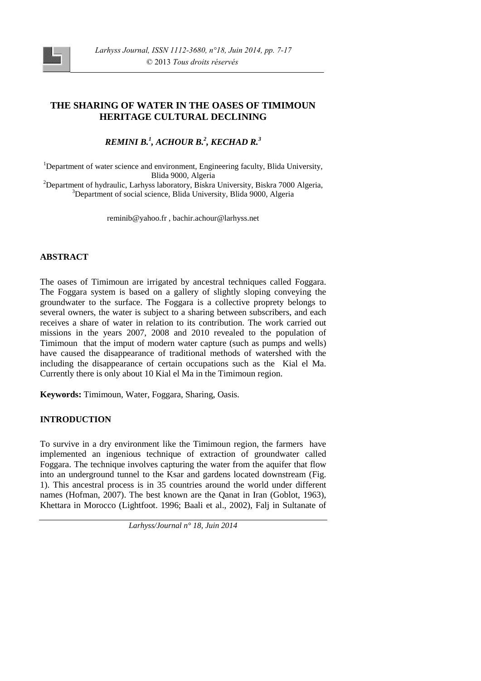# **THE SHARING OF WATER IN THE OASES OF TIMIMOUN HERITAGE CULTURAL DECLINING**

*REMINI B.<sup>1</sup> , ACHOUR B.<sup>2</sup> , KECHAD R.<sup>3</sup>*

<sup>1</sup>Department of water science and environment, Engineering faculty, Blida University, Blida 9000, Algeria

<sup>2</sup>Department of hydraulic, Larhyss laboratory, Biskra University, Biskra 7000 Algeria, <sup>3</sup>Department of social science, Blida University, Blida 9000, Algeria

reminib@yahoo.fr , bachir.achour@larhyss.net

## **ABSTRACT**

The oases of Timimoun are irrigated by ancestral techniques called Foggara. The Foggara system is based on a gallery of slightly sloping conveying the groundwater to the surface. The Foggara is a collective proprety belongs to several owners, the water is subject to a sharing between subscribers, and each receives a share of water in relation to its contribution. The work carried out missions in the years 2007, 2008 and 2010 revealed to the population of Timimoun that the imput of modern water capture (such as pumps and wells) have caused the disappearance of traditional methods of watershed with the including the disappearance of certain occupations such as the Kial el Ma. Currently there is only about 10 Kial el Ma in the Timimoun region.

**Keywords:** Timimoun, Water, Foggara, Sharing, Oasis.

## **INTRODUCTION**

To survive in a dry environment like the Timimoun region, the farmers have implemented an ingenious technique of extraction of groundwater called Foggara. The technique involves capturing the water from the aquifer that flow into an underground tunnel to the Ksar and gardens located downstream (Fig. 1). This ancestral process is in 35 countries around the world under different names (Hofman, 2007). The best known are the Qanat in Iran (Goblot, 1963), Khettara in Morocco (Lightfoot. 1996; Baali et al., 2002), Falj in Sultanate of

*Larhyss/Journal n° 18, Juin 2014*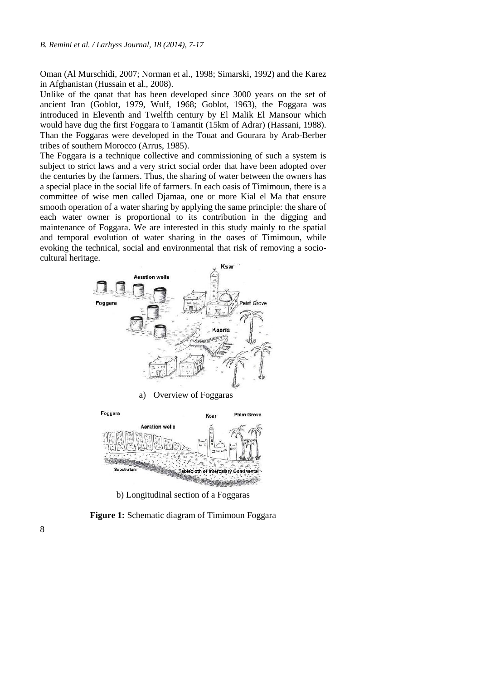Oman (Al Murschidi, 2007; Norman et al., 1998; Simarski, 1992) and the Karez in Afghanistan (Hussain et al., 2008).

Unlike of the qanat that has been developed since 3000 years on the set of ancient Iran (Goblot, 1979, Wulf, 1968; Goblot, 1963), the Foggara was introduced in Eleventh and Twelfth century by El Malik El Mansour which would have dug the first Foggara to Tamantit (15km of Adrar) (Hassani, 1988). Than the Foggaras were developed in the Touat and Gourara by Arab-Berber tribes of southern Morocco (Arrus, 1985).

The Foggara is a technique collective and commissioning of such a system is subject to strict laws and a very strict social order that have been adopted over the centuries by the farmers. Thus, the sharing of water between the owners has a special place in the social life of farmers. In each oasis of Timimoun, there is a committee of wise men called Djamaa, one or more Kial el Ma that ensure smooth operation of a water sharing by applying the same principle: the share of each water owner is proportional to its contribution in the digging and maintenance of Foggara. We are interested in this study mainly to the spatial and temporal evolution of water sharing in the oases of Timimoun, while evoking the technical, social and environmental that risk of removing a socio cultural heritage.



Substratun Tablecloth of Intercalary Continent

b) Longitudinal section of a Foggaras

**Figure 1:** Schematic diagram of Timimoun Foggara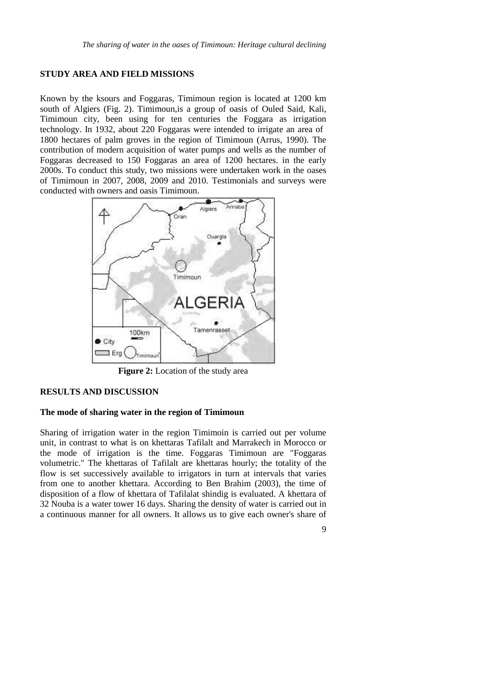### **STUDY AREA AND FIELD MISSIONS**

Known by the ksours and Foggaras, Timimoun region is located at 1200 km south of Algiers (Fig. 2). Timimoun,is a group of oasis of Ouled Said, Kali, Timimoun city, been using for ten centuries the Foggara as irrigation technology. In 1932, about 220 Foggaras were intended to irrigate an area of 1800 hectares of palm groves in the region of Timimoun (Arrus, 1990). The contribution of modern acquisition of water pumps and wells as the number of Foggaras decreased to 150 Foggaras an area of 1200 hectares. in the early 2000s. To conduct this study, two missions were undertaken work in the oases of Timimoun in 2007, 2008, 2009 and 2010. Testimonials and surveys were conducted with owners and oasis Timimoun.



**Figure 2:** Location of the study area

### **RESULTS AND DISCUSSION**

#### **The mode of sharing water in the region of Timimoun**

Sharing of irrigation water in the region Timimoin is carried out per volume unit, in contrast to what is on khettaras Tafilalt and Marrakech in Morocco or the mode of irrigation is the time. Foggaras Timimoun are "Foggaras volumetric." The khettaras of Tafilalt are khettaras hourly; the totality of the flow is set successively available to irrigators in turn at intervals that varies from one to another khettara. According to Ben Brahim (2003), the time of disposition of a flow of khettara of Tafilalat shindig is evaluated. A khettara of 32 Nouba is a water tower 16 days. Sharing the density of water is carried out in a continuous manner for all owners. It allows us to give each owner's share of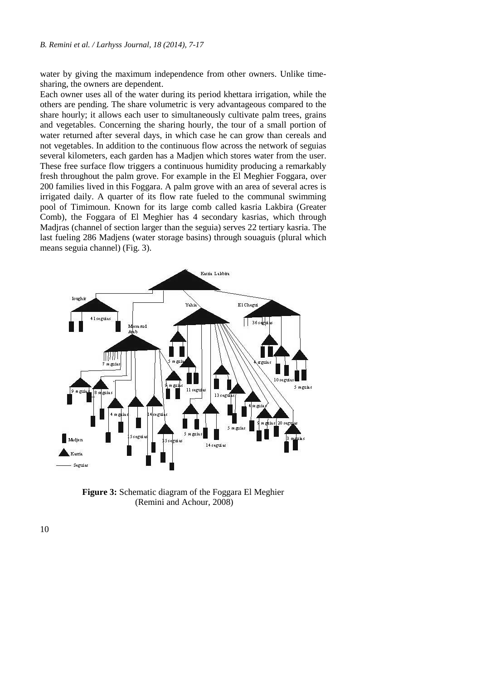water by giving the maximum independence from other owners. Unlike time sharing, the owners are dependent.

Each owner uses all of the water during its period khettara irrigation, while the others are pending. The share volumetric is very advantageous compared to the share hourly; it allows each user to simultaneously cultivate palm trees, grains and vegetables. Concerning the sharing hourly, the tour of a small portion of water returned after several days, in which case he can grow than cereals and not vegetables. In addition to the continuous flow across the network of seguias several kilometers, each garden has a Madjen which stores water from the user. These free surface flow triggers a continuous humidity producing a remarkably fresh throughout the palm grove. For example in the El Meghier Foggara, over 200 families lived in this Foggara. A palm grove with an area of several acres is irrigated daily. A quarter of its flow rate fueled to the communal swimming pool of Timimoun. Known for its large comb called kasria Lakbira (Greater Comb), the Foggara of El Meghier has 4 secondary kasrias, which through Madjras (channel of section larger than the seguia) serves 22 tertiary kasria. The last fueling 286 Madjens (water storage basins) through souaguis (plural which means seguia channel) (Fig. 3).



**Figure 3:** Schematic diagram of the Foggara El Meghier (Remini and Achour, 2008)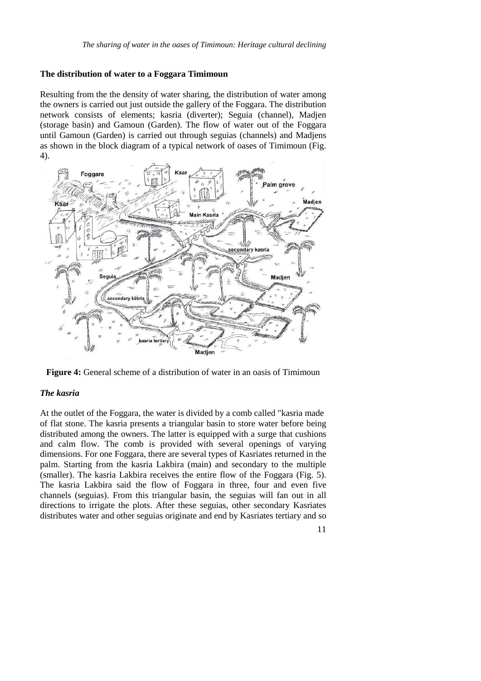#### **The distribution of water to a Foggara Timimoun**

Resulting from the the density of water sharing, the distribution of water among the owners is carried out just outside the gallery of the Foggara. The distribution network consists of elements; kasria (diverter); Seguia (channel), Madjen (storage basin) and Gamoun (Garden). The flow of water out of the Foggara until Gamoun (Garden) is carried out through seguias (channels) and Madjens as shown in the block diagram of a typical network of oases of Timimoun (Fig. 4).



**Figure 4:** General scheme of a distribution of water in an oasis of Timimoun

## *The kasria*

At the outlet of the Foggara, the water is divided by a comb called "kasria made of flat stone. The kasria presents a triangular basin to store water before being distributed among the owners. The latter is equipped with a surge that cushions and calm flow. The comb is provided with several openings of varying dimensions. For one Foggara, there are several types of Kasriates returned in the palm. Starting from the kasria Lakbira (main) and secondary to the multiple (smaller). The kasria Lakbira receives the entire flow of the Foggara (Fig. 5). The kasria Lakbira said the flow of Foggara in three, four and even five channels (seguias). From this triangular basin, the seguias will fan out in all directions to irrigate the plots. After these seguias, other secondary Kasriates distributes water and other seguias originate and end by Kasriates tertiary and so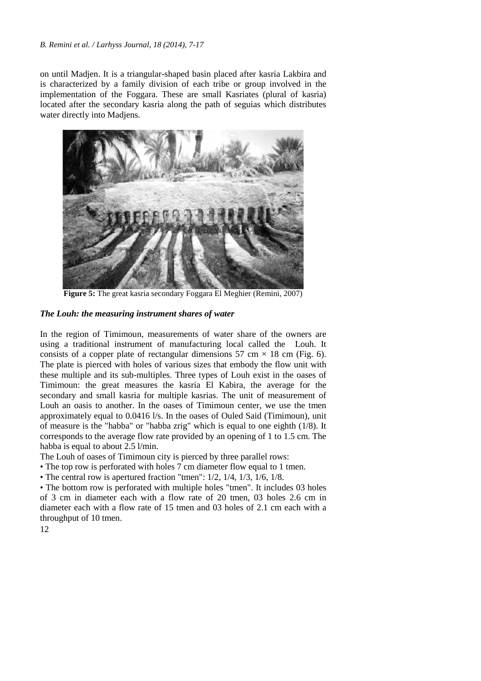#### *B. Remini et al. / Larhyss Journal, 18 (2014), 7-17*

on until Madjen. It is a triangular-shaped basin placed after kasria Lakbira and is characterized by a family division of each tribe or group involved in the implementation of the Foggara. These are small Kasriates (plural of kasria) located after the secondary kasria along the path of seguias which distributes water directly into Madjens.



**Figure 5:** The great kasria secondary Foggara El Meghier (Remini, 2007)

### *The Louh: the measuring instrument shares of water*

In the region of Timimoun, measurements of water share of the owners are using a traditional instrument of manufacturing local called the Louh. It consists of a copper plate of rectangular dimensions 57 cm  $\times$  18 cm (Fig. 6). The plate is pierced with holes of various sizes that embody the flow unit with these multiple and its sub-multiples. Three types of Louh exist in the oases of Timimoun: the great measures the kasria El Kabira, the average for the secondary and small kasria for multiple kasrias. The unit of measurement of Louh an oasis to another. In the oases of Timimoun center, we use the tmen approximately equal to 0.0416 l/s. In the oases of Ouled Said (Timimoun), unit of measure is the "habba" or "habba zrig" which is equal to one eighth (1/8). It corresponds to the average flow rate provided by an opening of 1 to 1.5 cm. The habba is equal to about 2.5 l/min.

The Louh of oases of Timimoun city is pierced by three parallel rows:

- The top row is perforated with holes 7 cm diameter flow equal to 1 tmen.
- The central row is apertured fraction "tmen": 1/2, 1/4, 1/3, 1/6, 1/8.

• The bottom row is perforated with multiple holes "tmen". It includes 03 holes of 3 cm in diameter each with a flow rate of 20 tmen, 03 holes 2.6 cm in diameter each with a flow rate of 15 tmen and 03 holes of 2.1 cm each with a throughput of 10 tmen.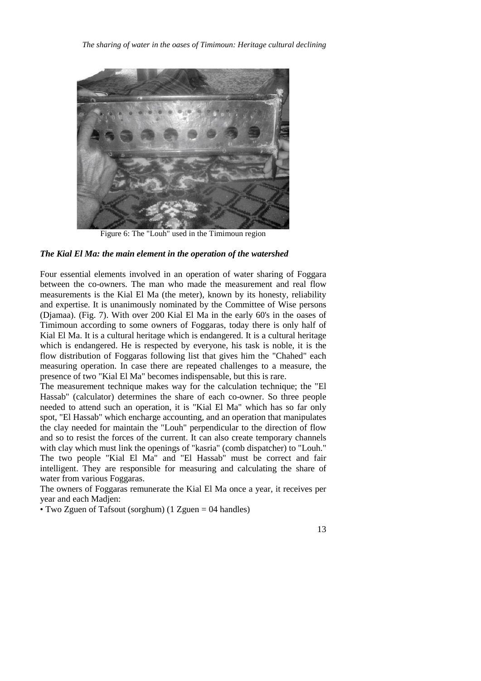

Figure 6: The "Louh" used in the Timimoun region

#### *The Kial El Ma: the main element in the operation of the watershed*

Four essential elements involved in an operation of water sharing of Foggara between the co-owners. The man who made the measurement and real flow measurements is the Kial El Ma (the meter), known by its honesty, reliability and expertise. It is unanimously nominated by the Committee of Wise persons (Djamaa). (Fig. 7). With over 200 Kial El Ma in the early 60's in the oases of Timimoun according to some owners of Foggaras, today there is only half of Kial El Ma. It is a cultural heritage which is endangered. It is a cultural heritage which is endangered. He is respected by everyone, his task is noble, it is the flow distribution of Foggaras following list that gives him the "Chahed" each measuring operation. In case there are repeated challenges to a measure, the presence of two "Kial El Ma" becomes indispensable, but this is rare.

The measurement technique makes way for the calculation technique; the "El Hassab" (calculator) determines the share of each co-owner. So three people needed to attend such an operation, it is "Kial El Ma" which has so far only spot, "El Hassab" which encharge accounting, and an operation that manipulates the clay needed for maintain the "Louh" perpendicular to the direction of flow and so to resist the forces of the current. It can also create temporary channels with clay which must link the openings of "kasria" (comb dispatcher) to "Louh." The two people "Kial El Ma" and "El Hassab" must be correct and fair intelligent. They are responsible for measuring and calculating the share of water from various Foggaras.

The owners of Foggaras remunerate the Kial El Ma once a year, it receives per year and each Madjen:

• Two Zguen of Tafsout (sorghum) (1 Zguen = 04 handles)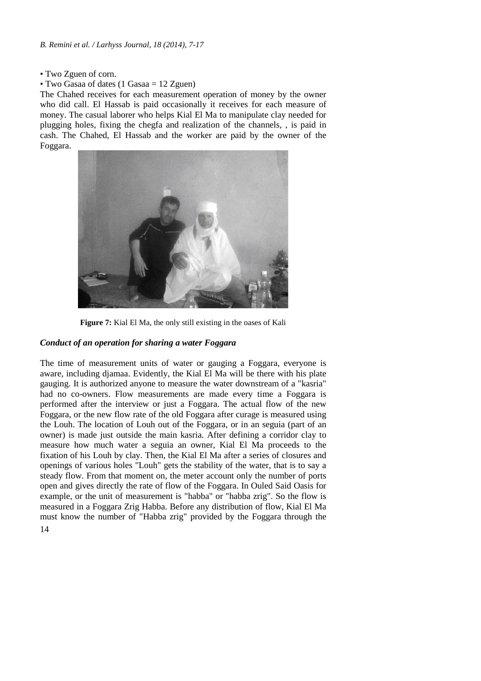- Two Zguen of corn.
- Two Gasaa of dates (1 Gasaa = 12 Zguen)

The Chahed receives for each measurement operation of money by the owner who did call. El Hassab is paid occasionally it receives for each measure of money. The casual laborer who helps Kial El Ma to manipulate clay needed for plugging holes, fixing the chegfa and realization of the channels, , is paid in cash. The Chahed, El Hassab and the worker are paid by the owner of the Foggara.



**Figure 7:** Kial El Ma, the only still existing in the oases of Kali

### *Conduct of an operation for sharing a water Foggara*

14 The time of measurement units of water or gauging a Foggara, everyone is aware, including djamaa. Evidently, the Kial El Ma will be there with his plate gauging. It is authorized anyone to measure the water downstream of a "kasria" had no co-owners. Flow measurements are made every time a Foggara is performed after the interview or just a Foggara. The actual flow of the new Foggara, or the new flow rate of the old Foggara after curage is measured using the Louh. The location of Louh out of the Foggara, or in an seguia (part of an owner) is made just outside the main kasria. After defining a corridor clay to measure how much water a seguia an owner, Kial El Ma proceeds to the fixation of his Louh by clay. Then, the Kial El Ma after a series of closures and openings of various holes "Louh" gets the stability of the water, that is to say a steady flow. From that moment on, the meter account only the number of ports open and gives directly the rate of flow of the Foggara. In Ouled Said Oasis for example, or the unit of measurement is "habba" or "habba zrig". So the flow is measured in a Foggara Zrig Habba. Before any distribution of flow, Kial El Ma must know the number of "Habba zrig" provided by the Foggara through the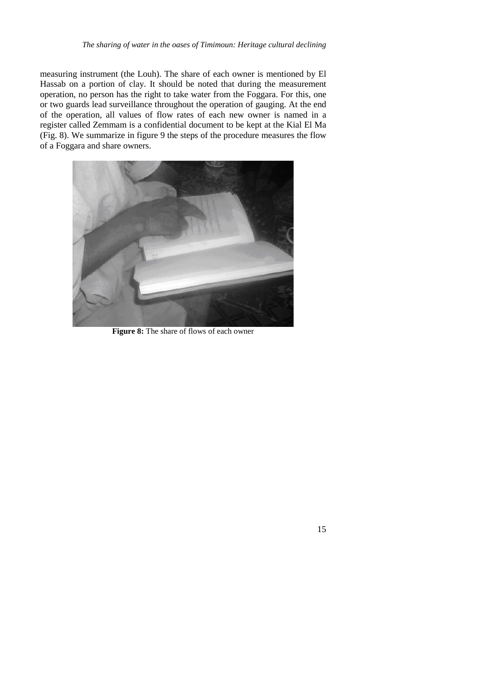measuring instrument (the Louh). The share of each owner is mentioned by El Hassab on a portion of clay. It should be noted that during the measurement operation, no person has the right to take water from the Foggara. For this, one or two guards lead surveillance throughout the operation of gauging. At the end of the operation, all values of flow rates of each new owneris named in a register called Zemmam is a confidential document to be kept at the Kial El Ma (Fig. 8). We summarize in figure 9 the steps of the procedure measures the flow of a Foggara and share owners.



**Figure 8:** The share of flows of each owner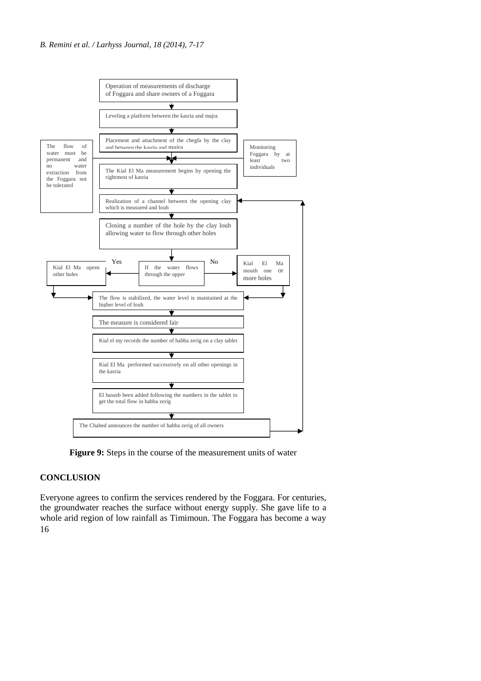

**Figure 9:** Steps in the course of the measurement units of water

## **CONCLUSION**

16 Everyone agrees to confirm the services rendered by the Foggara. For centuries, the groundwater reaches the surface without energy supply. She gave life to a whole arid region of low rainfall as Timimoun. The Foggara has become a way